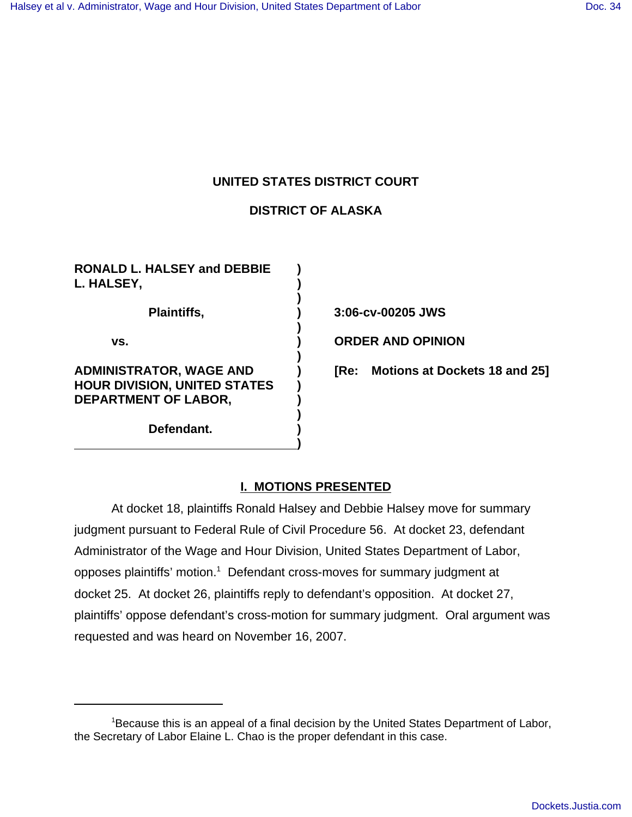# **UNITED STATES DISTRICT COURT**

## **DISTRICT OF ALASKA**

**)**

**)**

**)**

**)**

**)**

**RONALD L. HALSEY and DEBBIE ) L. HALSEY, ) Plaintiffs, ) 3:06-cv-00205 JWS vs. ) ORDER AND OPINION HOUR DIVISION, UNITED STATES ) DEPARTMENT OF LABOR, )**

**Defendant. )**

**ADMINISTRATOR, WAGE AND ) [Re: Motions at Dockets 18 and 25]**

## **I. MOTIONS PRESENTED**

At docket 18, plaintiffs Ronald Halsey and Debbie Halsey move for summary judgment pursuant to Federal Rule of Civil Procedure 56. At docket 23, defendant Administrator of the Wage and Hour Division, United States Department of Labor, opposes plaintiffs' motion.<sup>1</sup> Defendant cross-moves for summary judgment at docket 25. At docket 26, plaintiffs reply to defendant's opposition. At docket 27, plaintiffs' oppose defendant's cross-motion for summary judgment. Oral argument was requested and was heard on November 16, 2007.

<sup>&</sup>lt;sup>1</sup>Because this is an appeal of a final decision by the United States Department of Labor, the Secretary of Labor Elaine L. Chao is the proper defendant in this case.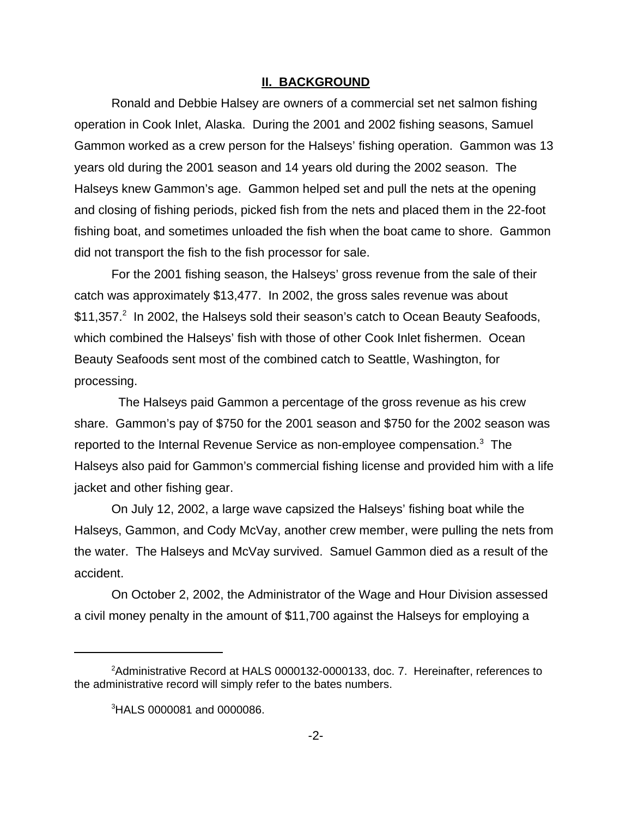#### **II. BACKGROUND**

Ronald and Debbie Halsey are owners of a commercial set net salmon fishing operation in Cook Inlet, Alaska. During the 2001 and 2002 fishing seasons, Samuel Gammon worked as a crew person for the Halseys' fishing operation. Gammon was 13 years old during the 2001 season and 14 years old during the 2002 season. The Halseys knew Gammon's age. Gammon helped set and pull the nets at the opening and closing of fishing periods, picked fish from the nets and placed them in the 22-foot fishing boat, and sometimes unloaded the fish when the boat came to shore. Gammon did not transport the fish to the fish processor for sale.

For the 2001 fishing season, the Halseys' gross revenue from the sale of their catch was approximately \$13,477. In 2002, the gross sales revenue was about  $$11,357.<sup>2</sup>$  In 2002, the Halseys sold their season's catch to Ocean Beauty Seafoods, which combined the Halseys' fish with those of other Cook Inlet fishermen. Ocean Beauty Seafoods sent most of the combined catch to Seattle, Washington, for processing.

 The Halseys paid Gammon a percentage of the gross revenue as his crew share. Gammon's pay of \$750 for the 2001 season and \$750 for the 2002 season was reported to the Internal Revenue Service as non-employee compensation.<sup>3</sup> The Halseys also paid for Gammon's commercial fishing license and provided him with a life jacket and other fishing gear.

On July 12, 2002, a large wave capsized the Halseys' fishing boat while the Halseys, Gammon, and Cody McVay, another crew member, were pulling the nets from the water. The Halseys and McVay survived. Samuel Gammon died as a result of the accident.

On October 2, 2002, the Administrator of the Wage and Hour Division assessed a civil money penalty in the amount of \$11,700 against the Halseys for employing a

 $^2$ Administrative Record at HALS 0000132-0000133, doc. 7. Hereinafter, references to the administrative record will simply refer to the bates numbers.

<sup>3</sup> HALS 0000081 and 0000086.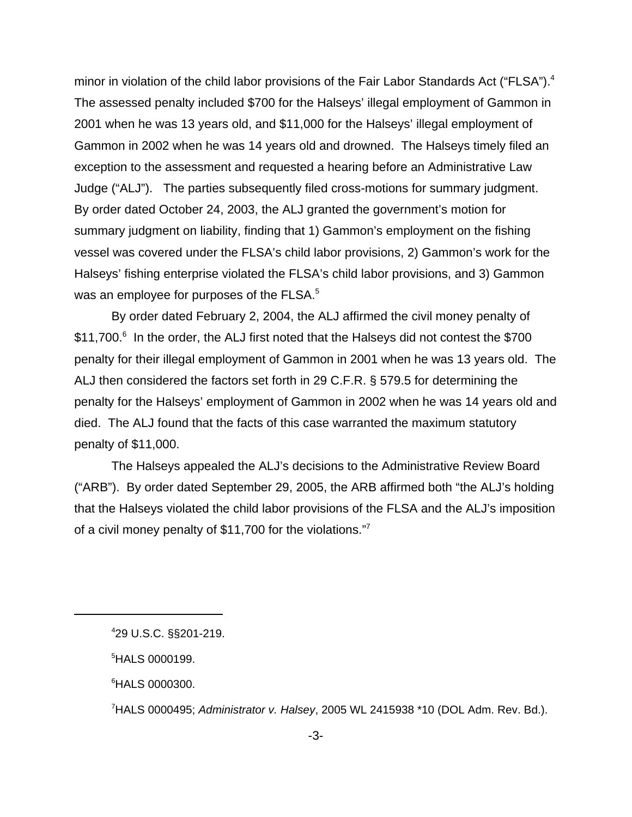minor in violation of the child labor provisions of the Fair Labor Standards Act ("FLSA").<sup>4</sup> The assessed penalty included \$700 for the Halseys' illegal employment of Gammon in 2001 when he was 13 years old, and \$11,000 for the Halseys' illegal employment of Gammon in 2002 when he was 14 years old and drowned. The Halseys timely filed an exception to the assessment and requested a hearing before an Administrative Law Judge ("ALJ"). The parties subsequently filed cross-motions for summary judgment. By order dated October 24, 2003, the ALJ granted the government's motion for summary judgment on liability, finding that 1) Gammon's employment on the fishing vessel was covered under the FLSA's child labor provisions, 2) Gammon's work for the Halseys' fishing enterprise violated the FLSA's child labor provisions, and 3) Gammon was an employee for purposes of the FLSA. $5$ 

By order dated February 2, 2004, the ALJ affirmed the civil money penalty of \$11,700.<sup>6</sup> In the order, the ALJ first noted that the Halseys did not contest the \$700 penalty for their illegal employment of Gammon in 2001 when he was 13 years old. The ALJ then considered the factors set forth in 29 C.F.R. § 579.5 for determining the penalty for the Halseys' employment of Gammon in 2002 when he was 14 years old and died. The ALJ found that the facts of this case warranted the maximum statutory penalty of \$11,000.

The Halseys appealed the ALJ's decisions to the Administrative Review Board ("ARB"). By order dated September 29, 2005, the ARB affirmed both "the ALJ's holding that the Halseys violated the child labor provisions of the FLSA and the ALJ's imposition of a civil money penalty of \$11,700 for the violations."7

6 HALS 0000300.

7 HALS 0000495; *Administrator v. Halsey*, 2005 WL 2415938 \*10 (DOL Adm. Rev. Bd.).

<sup>4</sup> 29 U.S.C. §§201-219.

<sup>5</sup> HALS 0000199.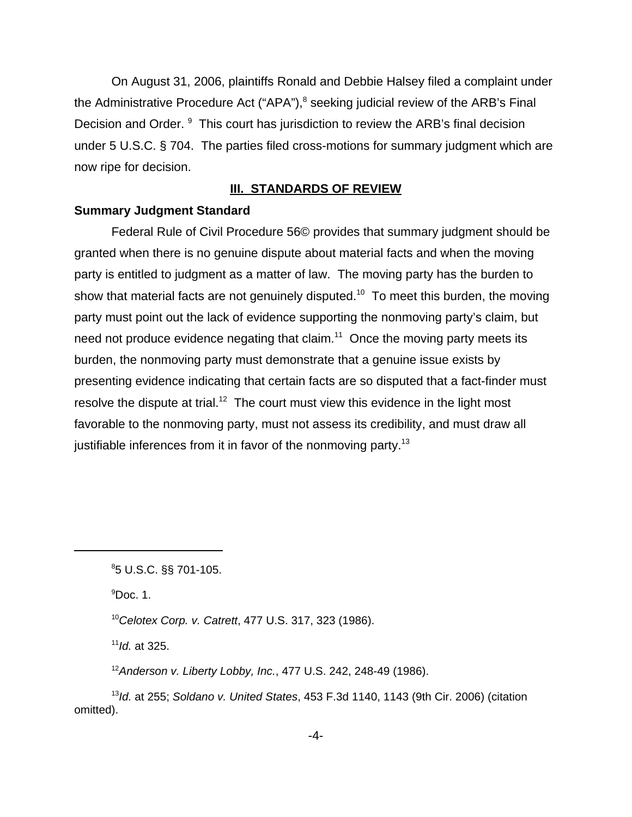On August 31, 2006, plaintiffs Ronald and Debbie Halsey filed a complaint under the Administrative Procedure Act ("APA"),<sup>8</sup> seeking judicial review of the ARB's Final Decision and Order. <sup>9</sup> This court has jurisdiction to review the ARB's final decision under 5 U.S.C. § 704. The parties filed cross-motions for summary judgment which are now ripe for decision.

### **III. STANDARDS OF REVIEW**

### **Summary Judgment Standard**

Federal Rule of Civil Procedure 56© provides that summary judgment should be granted when there is no genuine dispute about material facts and when the moving party is entitled to judgment as a matter of law. The moving party has the burden to show that material facts are not genuinely disputed.<sup>10</sup> To meet this burden, the moving party must point out the lack of evidence supporting the nonmoving party's claim, but need not produce evidence negating that claim.<sup>11</sup> Once the moving party meets its burden, the nonmoving party must demonstrate that a genuine issue exists by presenting evidence indicating that certain facts are so disputed that a fact-finder must resolve the dispute at trial.<sup>12</sup> The court must view this evidence in the light most favorable to the nonmoving party, must not assess its credibility, and must draw all justifiable inferences from it in favor of the nonmoving party.<sup>13</sup>

 $^9$ Doc. 1.

<sup>10</sup>*Celotex Corp. v. Catrett*, 477 U.S. 317, 323 (1986).

<sup>11</sup>*Id.* at 325.

<sup>12</sup>*Anderson v. Liberty Lobby, Inc.*, 477 U.S. 242, 248-49 (1986).

<sup>13</sup>*Id.* at 255; *Soldano v. United States*, 453 F.3d 1140, 1143 (9th Cir. 2006) (citation omitted).

<sup>8</sup> 5 U.S.C. §§ 701-105.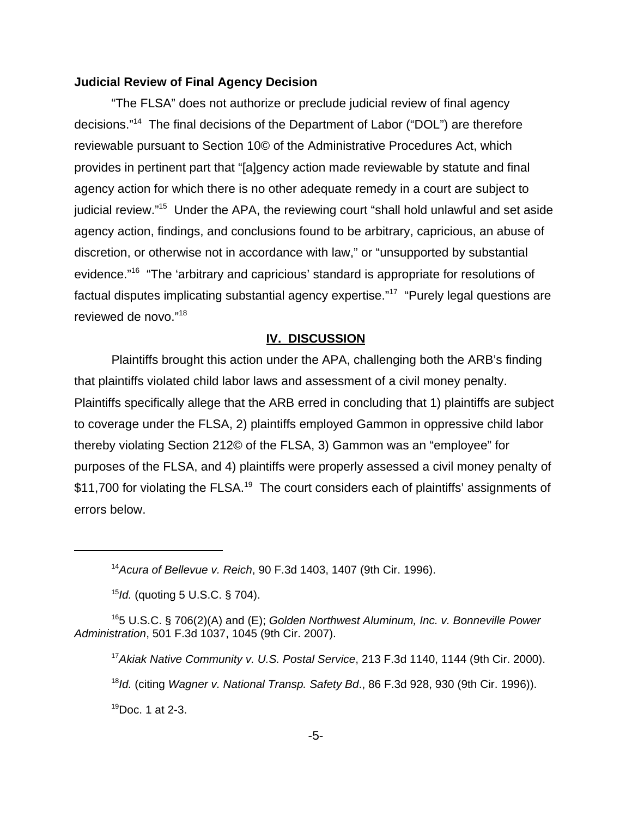#### **Judicial Review of Final Agency Decision**

"The FLSA" does not authorize or preclude judicial review of final agency decisions."14 The final decisions of the Department of Labor ("DOL") are therefore reviewable pursuant to Section 10© of the Administrative Procedures Act, which provides in pertinent part that "[a]gency action made reviewable by statute and final agency action for which there is no other adequate remedy in a court are subject to judicial review."15 Under the APA, the reviewing court "shall hold unlawful and set aside agency action, findings, and conclusions found to be arbitrary, capricious, an abuse of discretion, or otherwise not in accordance with law," or "unsupported by substantial evidence."16 "The 'arbitrary and capricious' standard is appropriate for resolutions of factual disputes implicating substantial agency expertise."<sup>17</sup> "Purely legal questions are reviewed de novo."<sup>18</sup>

#### **IV. DISCUSSION**

Plaintiffs brought this action under the APA, challenging both the ARB's finding that plaintiffs violated child labor laws and assessment of a civil money penalty. Plaintiffs specifically allege that the ARB erred in concluding that 1) plaintiffs are subject to coverage under the FLSA, 2) plaintiffs employed Gammon in oppressive child labor thereby violating Section 212© of the FLSA, 3) Gammon was an "employee" for purposes of the FLSA, and 4) plaintiffs were properly assessed a civil money penalty of \$11,700 for violating the FLSA.<sup>19</sup> The court considers each of plaintiffs' assignments of errors below.

<sup>17</sup>*Akiak Native Community v. U.S. Postal Service*, 213 F.3d 1140, 1144 (9th Cir. 2000). <sup>18</sup>*Id.* (citing *Wagner v. National Transp. Safety Bd*., 86 F.3d 928, 930 (9th Cir. 1996)).  $19$ Doc. 1 at 2-3.

<sup>14</sup>*Acura of Bellevue v. Reich*, 90 F.3d 1403, 1407 (9th Cir. 1996).

<sup>15</sup>*Id.* (quoting 5 U.S.C. § 704).

<sup>165</sup> U.S.C. § 706(2)(A) and (E); *Golden Northwest Aluminum, Inc. v. Bonneville Power Administration*, 501 F.3d 1037, 1045 (9th Cir. 2007).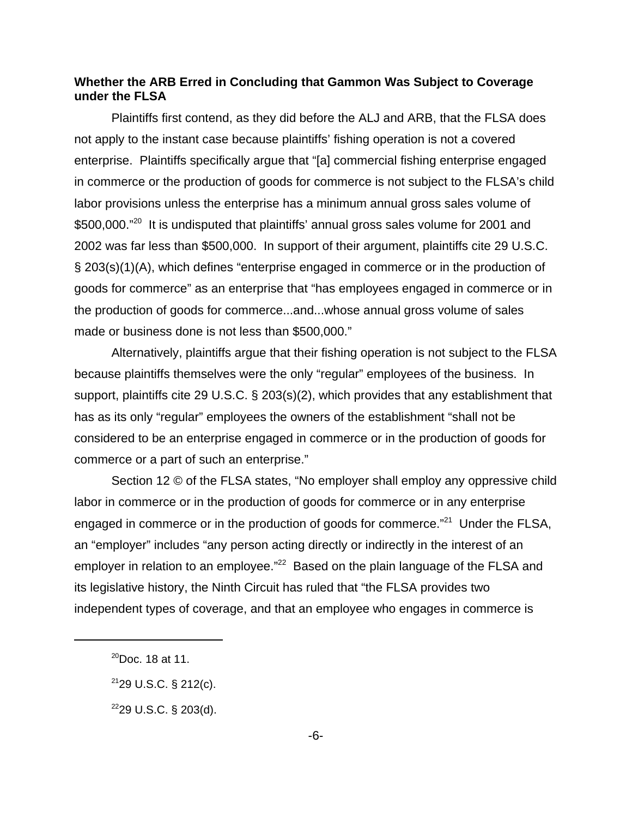### **Whether the ARB Erred in Concluding that Gammon Was Subject to Coverage under the FLSA**

Plaintiffs first contend, as they did before the ALJ and ARB, that the FLSA does not apply to the instant case because plaintiffs' fishing operation is not a covered enterprise. Plaintiffs specifically argue that "[a] commercial fishing enterprise engaged in commerce or the production of goods for commerce is not subject to the FLSA's child labor provisions unless the enterprise has a minimum annual gross sales volume of \$500,000."<sup>20</sup> It is undisputed that plaintiffs' annual gross sales volume for 2001 and 2002 was far less than \$500,000. In support of their argument, plaintiffs cite 29 U.S.C. § 203(s)(1)(A), which defines "enterprise engaged in commerce or in the production of goods for commerce" as an enterprise that "has employees engaged in commerce or in the production of goods for commerce...and...whose annual gross volume of sales made or business done is not less than \$500,000."

Alternatively, plaintiffs argue that their fishing operation is not subject to the FLSA because plaintiffs themselves were the only "regular" employees of the business. In support, plaintiffs cite 29 U.S.C. § 203(s)(2), which provides that any establishment that has as its only "regular" employees the owners of the establishment "shall not be considered to be an enterprise engaged in commerce or in the production of goods for commerce or a part of such an enterprise."

Section 12 © of the FLSA states, "No employer shall employ any oppressive child labor in commerce or in the production of goods for commerce or in any enterprise engaged in commerce or in the production of goods for commerce."<sup>21</sup> Under the FLSA, an "employer" includes "any person acting directly or indirectly in the interest of an employer in relation to an employee."<sup>22</sup> Based on the plain language of the FLSA and its legislative history, the Ninth Circuit has ruled that "the FLSA provides two independent types of coverage, and that an employee who engages in commerce is

 $^{20}$ Doc. 18 at 11.

 $2129$  U.S.C. § 212(c).

 $2229$  U.S.C. § 203(d).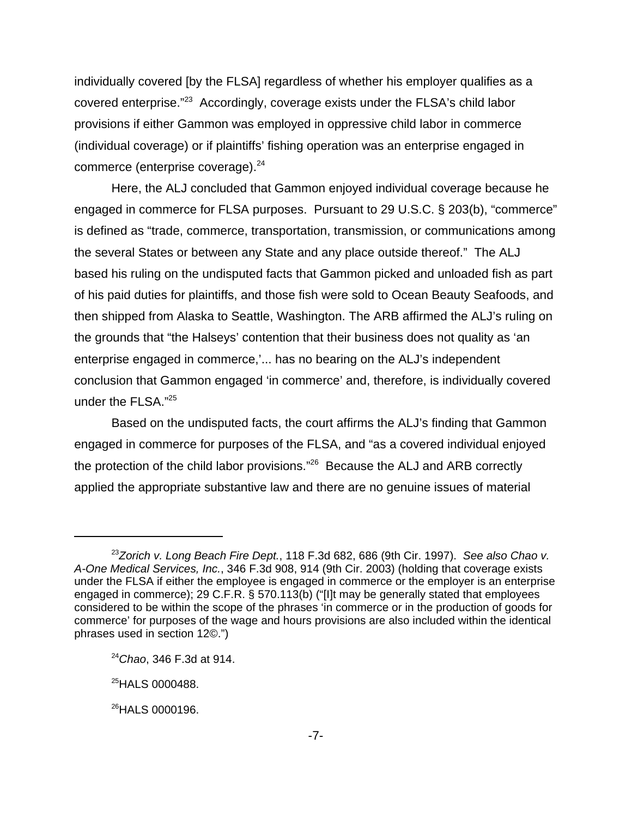individually covered [by the FLSA] regardless of whether his employer qualifies as a covered enterprise."23 Accordingly, coverage exists under the FLSA's child labor provisions if either Gammon was employed in oppressive child labor in commerce (individual coverage) or if plaintiffs' fishing operation was an enterprise engaged in commerce (enterprise coverage).<sup>24</sup>

Here, the ALJ concluded that Gammon enjoyed individual coverage because he engaged in commerce for FLSA purposes. Pursuant to 29 U.S.C. § 203(b), "commerce" is defined as "trade, commerce, transportation, transmission, or communications among the several States or between any State and any place outside thereof." The ALJ based his ruling on the undisputed facts that Gammon picked and unloaded fish as part of his paid duties for plaintiffs, and those fish were sold to Ocean Beauty Seafoods, and then shipped from Alaska to Seattle, Washington. The ARB affirmed the ALJ's ruling on the grounds that "the Halseys' contention that their business does not quality as 'an enterprise engaged in commerce,'... has no bearing on the ALJ's independent conclusion that Gammon engaged 'in commerce' and, therefore, is individually covered under the FLSA."25

Based on the undisputed facts, the court affirms the ALJ's finding that Gammon engaged in commerce for purposes of the FLSA, and "as a covered individual enjoyed the protection of the child labor provisions."26 Because the ALJ and ARB correctly applied the appropriate substantive law and there are no genuine issues of material

<sup>23</sup>*Zorich v. Long Beach Fire Dept.*, 118 F.3d 682, 686 (9th Cir. 1997). *See also Chao v. A-One Medical Services, Inc.*, 346 F.3d 908, 914 (9th Cir. 2003) (holding that coverage exists under the FLSA if either the employee is engaged in commerce or the employer is an enterprise engaged in commerce); 29 C.F.R. § 570.113(b) ("[I]t may be generally stated that employees considered to be within the scope of the phrases 'in commerce or in the production of goods for commerce' for purposes of the wage and hours provisions are also included within the identical phrases used in section 12©.")

<sup>24</sup>*Chao*, 346 F.3d at 914.

<sup>&</sup>lt;sup>25</sup>HALS 0000488.

<sup>&</sup>lt;sup>26</sup>HALS 0000196.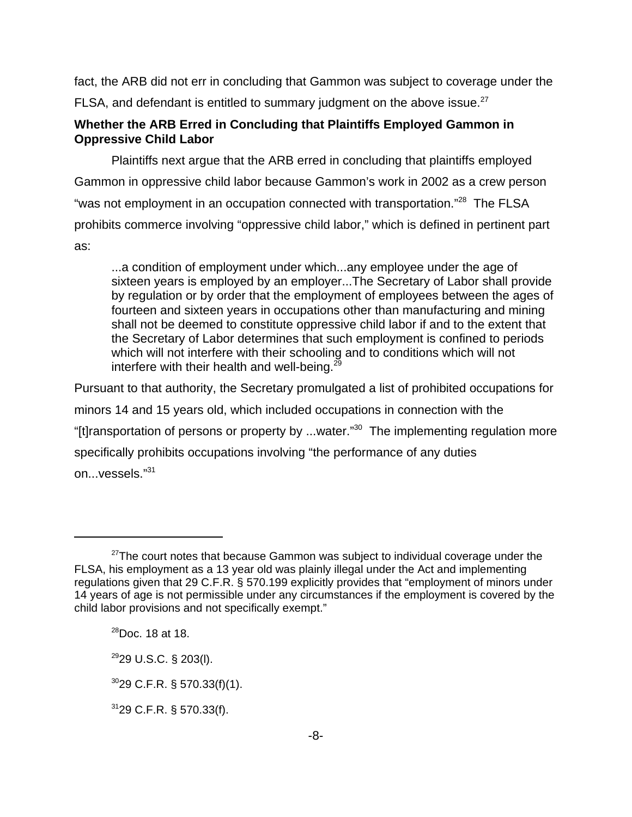fact, the ARB did not err in concluding that Gammon was subject to coverage under the FLSA, and defendant is entitled to summary judgment on the above issue. $27$ 

### **Whether the ARB Erred in Concluding that Plaintiffs Employed Gammon in Oppressive Child Labor**

Plaintiffs next argue that the ARB erred in concluding that plaintiffs employed Gammon in oppressive child labor because Gammon's work in 2002 as a crew person "was not employment in an occupation connected with transportation."<sup>28</sup> The FLSA prohibits commerce involving "oppressive child labor," which is defined in pertinent part as:

...a condition of employment under which...any employee under the age of sixteen years is employed by an employer...The Secretary of Labor shall provide by regulation or by order that the employment of employees between the ages of fourteen and sixteen years in occupations other than manufacturing and mining shall not be deemed to constitute oppressive child labor if and to the extent that the Secretary of Labor determines that such employment is confined to periods which will not interfere with their schooling and to conditions which will not interfere with their health and well-being. $29$ 

Pursuant to that authority, the Secretary promulgated a list of prohibited occupations for minors 14 and 15 years old, which included occupations in connection with the "[t]ransportation of persons or property by ...water."30 The implementing regulation more specifically prohibits occupations involving "the performance of any duties on...vessels."<sup>31</sup>

 $27$ The court notes that because Gammon was subject to individual coverage under the FLSA, his employment as a 13 year old was plainly illegal under the Act and implementing regulations given that 29 C.F.R. § 570.199 explicitly provides that "employment of minors under 14 years of age is not permissible under any circumstances if the employment is covered by the child labor provisions and not specifically exempt."

 $^{28}$ Doc. 18 at 18.

 $2929$  U.S.C. § 203(I).

 $3029$  C.F.R. § 570.33(f)(1).

 $31$ 29 C.F.R. § 570.33(f).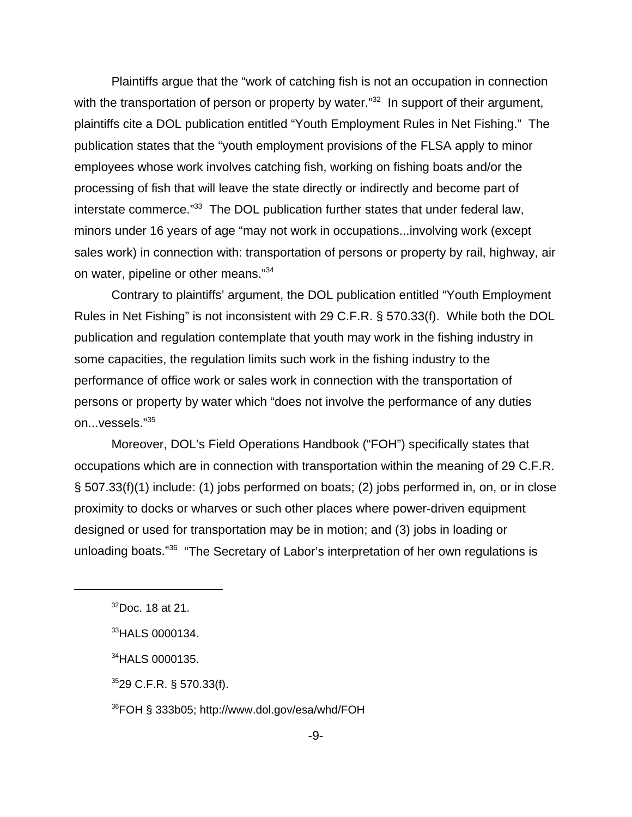Plaintiffs argue that the "work of catching fish is not an occupation in connection with the transportation of person or property by water.<sup>"32</sup> In support of their argument, plaintiffs cite a DOL publication entitled "Youth Employment Rules in Net Fishing." The publication states that the "youth employment provisions of the FLSA apply to minor employees whose work involves catching fish, working on fishing boats and/or the processing of fish that will leave the state directly or indirectly and become part of interstate commerce."<sup>33</sup> The DOL publication further states that under federal law, minors under 16 years of age "may not work in occupations...involving work (except sales work) in connection with: transportation of persons or property by rail, highway, air on water, pipeline or other means."34

Contrary to plaintiffs' argument, the DOL publication entitled "Youth Employment Rules in Net Fishing" is not inconsistent with 29 C.F.R. § 570.33(f). While both the DOL publication and regulation contemplate that youth may work in the fishing industry in some capacities, the regulation limits such work in the fishing industry to the performance of office work or sales work in connection with the transportation of persons or property by water which "does not involve the performance of any duties on...vessels."<sup>35</sup>

Moreover, DOL's Field Operations Handbook ("FOH") specifically states that occupations which are in connection with transportation within the meaning of 29 C.F.R. § 507.33(f)(1) include: (1) jobs performed on boats; (2) jobs performed in, on, or in close proximity to docks or wharves or such other places where power-driven equipment designed or used for transportation may be in motion; and (3) jobs in loading or unloading boats."<sup>36</sup> "The Secretary of Labor's interpretation of her own regulations is

34HALS 0000135.

 $3529$  C.F.R. § 570.33(f).

36FOH § 333b05; http://www.dol.gov/esa/whd/FOH

 $32$ Doc. 18 at 21.

<sup>33</sup>HALS 0000134.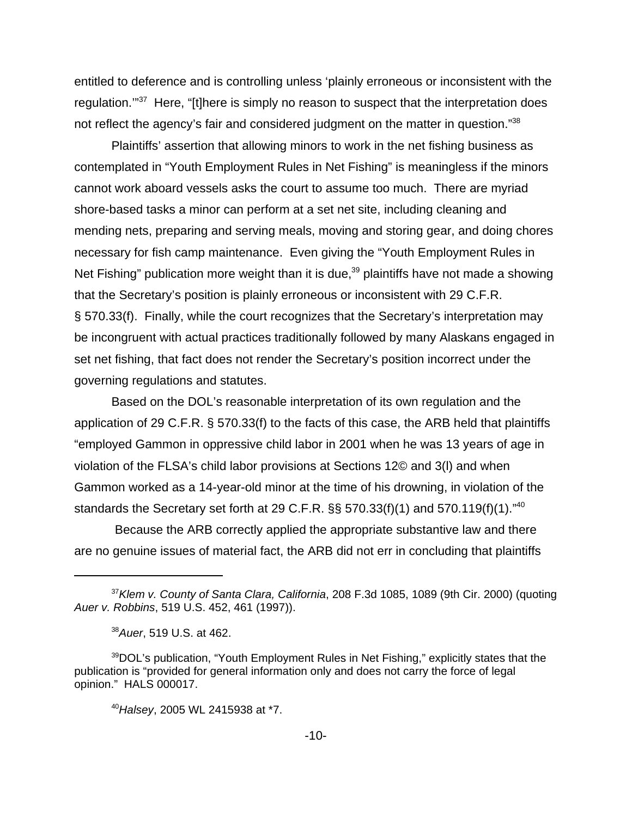entitled to deference and is controlling unless 'plainly erroneous or inconsistent with the regulation."<sup>37</sup> Here, "[t]here is simply no reason to suspect that the interpretation does not reflect the agency's fair and considered judgment on the matter in question."38

Plaintiffs' assertion that allowing minors to work in the net fishing business as contemplated in "Youth Employment Rules in Net Fishing" is meaningless if the minors cannot work aboard vessels asks the court to assume too much. There are myriad shore-based tasks a minor can perform at a set net site, including cleaning and mending nets, preparing and serving meals, moving and storing gear, and doing chores necessary for fish camp maintenance. Even giving the "Youth Employment Rules in Net Fishing" publication more weight than it is due, $39$  plaintiffs have not made a showing that the Secretary's position is plainly erroneous or inconsistent with 29 C.F.R. § 570.33(f). Finally, while the court recognizes that the Secretary's interpretation may be incongruent with actual practices traditionally followed by many Alaskans engaged in set net fishing, that fact does not render the Secretary's position incorrect under the governing regulations and statutes.

Based on the DOL's reasonable interpretation of its own regulation and the application of 29 C.F.R. § 570.33(f) to the facts of this case, the ARB held that plaintiffs "employed Gammon in oppressive child labor in 2001 when he was 13 years of age in violation of the FLSA's child labor provisions at Sections 12© and 3(l) and when Gammon worked as a 14-year-old minor at the time of his drowning, in violation of the standards the Secretary set forth at 29 C.F.R.  $\S$ § 570.33(f)(1) and 570.119(f)(1)."<sup>40</sup>

 Because the ARB correctly applied the appropriate substantive law and there are no genuine issues of material fact, the ARB did not err in concluding that plaintiffs

<sup>37</sup>*Klem v. County of Santa Clara, California*, 208 F.3d 1085, 1089 (9th Cir. 2000) (quoting *Auer v. Robbins*, 519 U.S. 452, 461 (1997)).

<sup>38</sup>*Auer*, 519 U.S. at 462.

<sup>&</sup>lt;sup>39</sup>DOL's publication, "Youth Employment Rules in Net Fishing," explicitly states that the publication is "provided for general information only and does not carry the force of legal opinion." HALS 000017.

<sup>40</sup>*Halsey*, 2005 WL 2415938 at \*7.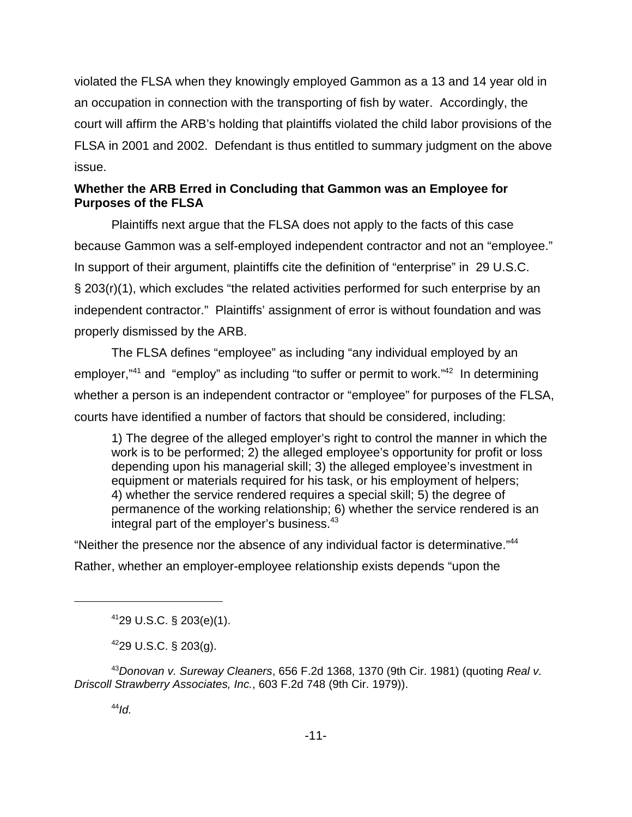violated the FLSA when they knowingly employed Gammon as a 13 and 14 year old in an occupation in connection with the transporting of fish by water. Accordingly, the court will affirm the ARB's holding that plaintiffs violated the child labor provisions of the FLSA in 2001 and 2002. Defendant is thus entitled to summary judgment on the above issue.

## **Whether the ARB Erred in Concluding that Gammon was an Employee for Purposes of the FLSA**

Plaintiffs next argue that the FLSA does not apply to the facts of this case because Gammon was a self-employed independent contractor and not an "employee." In support of their argument, plaintiffs cite the definition of "enterprise" in 29 U.S.C. § 203(r)(1), which excludes "the related activities performed for such enterprise by an independent contractor." Plaintiffs' assignment of error is without foundation and was properly dismissed by the ARB.

The FLSA defines "employee" as including "any individual employed by an employer,"<sup>41</sup> and "employ" as including "to suffer or permit to work."<sup>42</sup> In determining whether a person is an independent contractor or "employee" for purposes of the FLSA, courts have identified a number of factors that should be considered, including:

1) The degree of the alleged employer's right to control the manner in which the work is to be performed; 2) the alleged employee's opportunity for profit or loss depending upon his managerial skill; 3) the alleged employee's investment in equipment or materials required for his task, or his employment of helpers; 4) whether the service rendered requires a special skill; 5) the degree of permanence of the working relationship; 6) whether the service rendered is an integral part of the employer's business.<sup>43</sup>

"Neither the presence nor the absence of any individual factor is determinative."<sup>44</sup> Rather, whether an employer-employee relationship exists depends "upon the

4229 U.S.C. § 203(g).

<sup>43</sup>*Donovan v. Sureway Cleaners*, 656 F.2d 1368, 1370 (9th Cir. 1981) (quoting *Real v. Driscoll Strawberry Associates, Inc.*, 603 F.2d 748 (9th Cir. 1979)).

<sup>4129</sup> U.S.C. § 203(e)(1).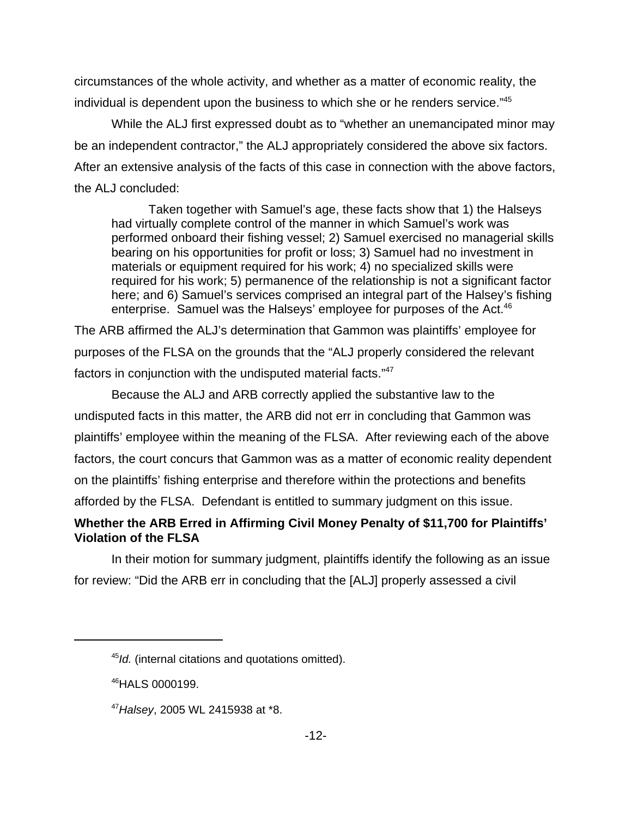circumstances of the whole activity, and whether as a matter of economic reality, the individual is dependent upon the business to which she or he renders service."<sup>45</sup>

While the ALJ first expressed doubt as to "whether an unemancipated minor may be an independent contractor," the ALJ appropriately considered the above six factors. After an extensive analysis of the facts of this case in connection with the above factors, the ALJ concluded:

Taken together with Samuel's age, these facts show that 1) the Halseys had virtually complete control of the manner in which Samuel's work was performed onboard their fishing vessel; 2) Samuel exercised no managerial skills bearing on his opportunities for profit or loss; 3) Samuel had no investment in materials or equipment required for his work; 4) no specialized skills were required for his work; 5) permanence of the relationship is not a significant factor here; and 6) Samuel's services comprised an integral part of the Halsey's fishing enterprise. Samuel was the Halseys' employee for purposes of the Act.<sup>46</sup>

The ARB affirmed the ALJ's determination that Gammon was plaintiffs' employee for purposes of the FLSA on the grounds that the "ALJ properly considered the relevant factors in conjunction with the undisputed material facts."<sup>47</sup>

Because the ALJ and ARB correctly applied the substantive law to the undisputed facts in this matter, the ARB did not err in concluding that Gammon was plaintiffs' employee within the meaning of the FLSA. After reviewing each of the above factors, the court concurs that Gammon was as a matter of economic reality dependent on the plaintiffs' fishing enterprise and therefore within the protections and benefits afforded by the FLSA. Defendant is entitled to summary judgment on this issue.

# **Whether the ARB Erred in Affirming Civil Money Penalty of \$11,700 for Plaintiffs' Violation of the FLSA**

In their motion for summary judgment, plaintiffs identify the following as an issue for review: "Did the ARB err in concluding that the [ALJ] properly assessed a civil

<sup>45</sup>*Id.* (internal citations and quotations omitted).

<sup>46</sup>HALS 0000199.

<sup>47</sup>*Halsey*, 2005 WL 2415938 at \*8.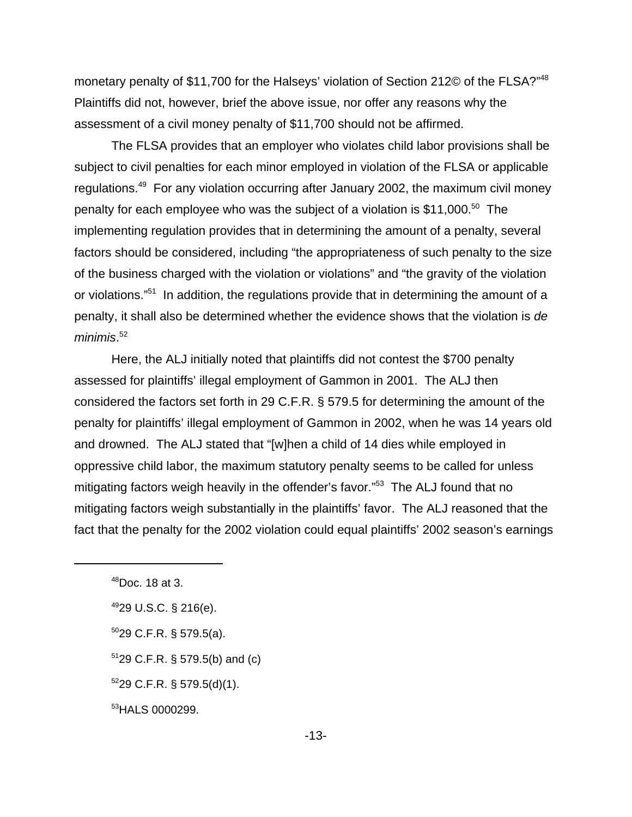monetary penalty of \$11,700 for the Halseys' violation of Section 212© of the FLSA?"<sup>48</sup> Plaintiffs did not, however, brief the above issue, nor offer any reasons why the assessment of a civil money penalty of \$11,700 should not be affirmed.

The FLSA provides that an employer who violates child labor provisions shall be subject to civil penalties for each minor employed in violation of the FLSA or applicable regulations.49 For any violation occurring after January 2002, the maximum civil money penalty for each employee who was the subject of a violation is \$11,000.<sup>50</sup> The implementing regulation provides that in determining the amount of a penalty, several factors should be considered, including "the appropriateness of such penalty to the size of the business charged with the violation or violations" and "the gravity of the violation or violations."51 In addition, the regulations provide that in determining the amount of a penalty, it shall also be determined whether the evidence shows that the violation is *de minimis*. 52

Here, the ALJ initially noted that plaintiffs did not contest the \$700 penalty assessed for plaintiffs' illegal employment of Gammon in 2001. The ALJ then considered the factors set forth in 29 C.F.R. § 579.5 for determining the amount of the penalty for plaintiffs' illegal employment of Gammon in 2002, when he was 14 years old and drowned. The ALJ stated that "[w]hen a child of 14 dies while employed in oppressive child labor, the maximum statutory penalty seems to be called for unless mitigating factors weigh heavily in the offender's favor."<sup>53</sup> The ALJ found that no mitigating factors weigh substantially in the plaintiffs' favor. The ALJ reasoned that the fact that the penalty for the 2002 violation could equal plaintiffs' 2002 season's earnings

- $5029$  C.F.R. § 579.5(a).
- $5129$  C.F.R. § 579.5(b) and (c)
- $529$  C.F.R. § 579.5(d)(1).

53 HALS 0000299.

 $48$ Doc. 18 at 3.

<sup>4929</sup> U.S.C. § 216(e).